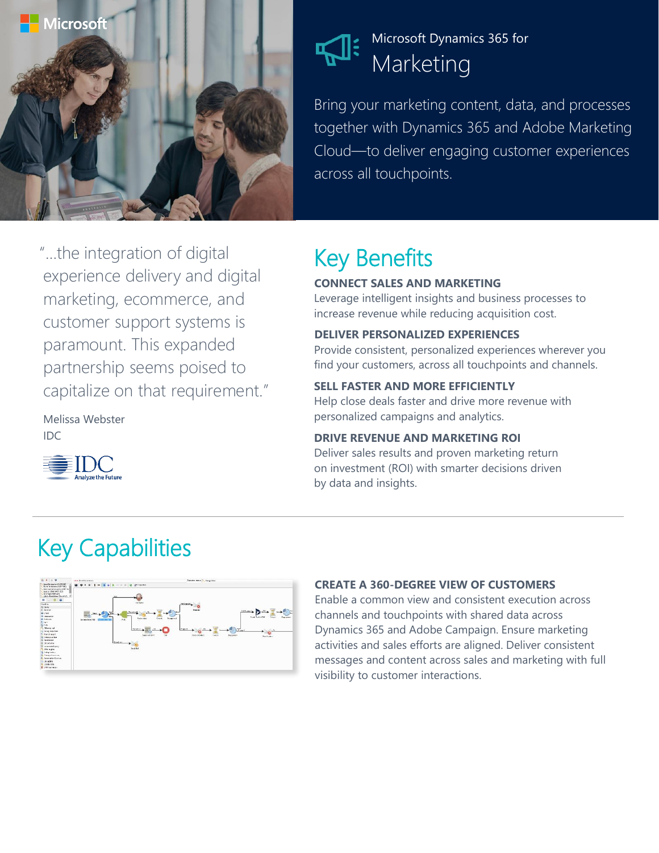

### Microsoft Dynamics 365 for Marketing

Bring your marketing content, data, and processes together with Dynamics 365 and Adobe Marketing Cloud—to deliver engaging customer experiences across all touchpoints.

# Key Benefits

### **CONNECT SALES AND MARKETING**

Leverage intelligent insights and business processes to increase revenue while reducing acquisition cost.

### **DELIVER PERSONALIZED EXPERIENCES**

Provide consistent, personalized experiences wherever you find your customers, across all touchpoints and channels.

### **SELL FASTER AND MORE EFFICIENTLY**

Help close deals faster and drive more revenue with personalized campaigns and analytics.

### **DRIVE REVENUE AND MARKETING ROI**

Deliver sales results and proven marketing return on investment (ROI) with smarter decisions driven by data and insights.

### experience delivery and digital marketing, ecommerce, and customer support systems is paramount. This expanded partnership seems poised to capitalize on that requirement."

"…the integration of digital

Melissa Webster IDC



## Key Capabilities



#### **CREATE A 360-DEGREE VIEW OF CUSTOMERS**

Enable a common view and consistent execution across channels and touchpoints with shared data across Dynamics 365 and Adobe Campaign. Ensure marketing activities and sales efforts are aligned. Deliver consistent messages and content across sales and marketing with full visibility to customer interactions.